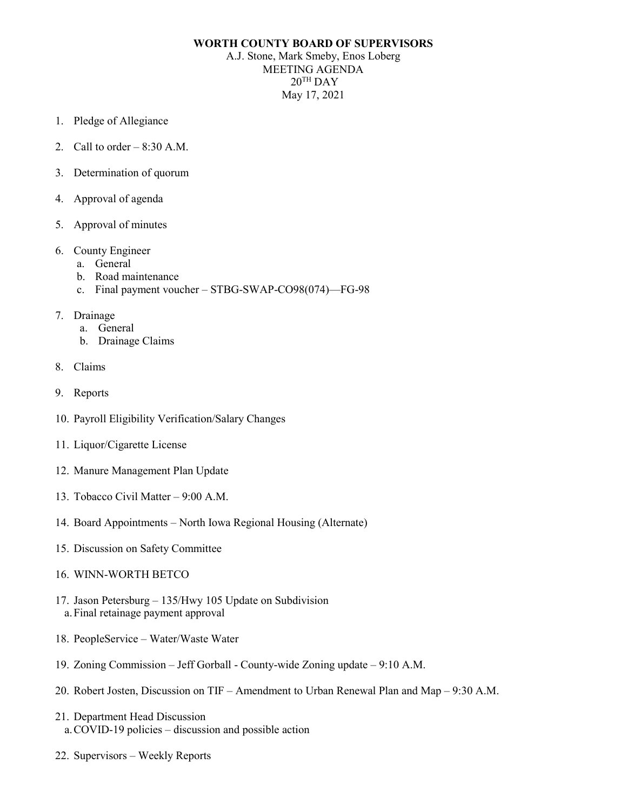## **WORTH COUNTY BOARD OF SUPERVISORS**

A.J. Stone, Mark Smeby, Enos Loberg MEETING AGENDA  $20^{\text{TH}}$  DAY May 17, 2021

- 1. Pledge of Allegiance
- 2. Call to order  $-8:30$  A.M.
- 3. Determination of quorum
- 4. Approval of agenda
- 5. Approval of minutes
- 6. County Engineer
	- a. General
	- b. Road maintenance
	- c. Final payment voucher STBG-SWAP-CO98(074)—FG-98
- 7. Drainage
	- a. General
	- b. Drainage Claims
- 8. Claims
- 9. Reports
- 10. Payroll Eligibility Verification/Salary Changes
- 11. Liquor/Cigarette License
- 12. Manure Management Plan Update
- 13. Tobacco Civil Matter 9:00 A.M.
- 14. Board Appointments North Iowa Regional Housing (Alternate)
- 15. Discussion on Safety Committee
- 16. WINN-WORTH BETCO
- 17. Jason Petersburg 135/Hwy 105 Update on Subdivision a.Final retainage payment approval
- 18. PeopleService Water/Waste Water
- 19. Zoning Commission Jeff Gorball County-wide Zoning update 9:10 A.M.
- 20. Robert Josten, Discussion on TIF Amendment to Urban Renewal Plan and Map 9:30 A.M.
- 21. Department Head Discussion a.COVID-19 policies – discussion and possible action
- 22. Supervisors Weekly Reports